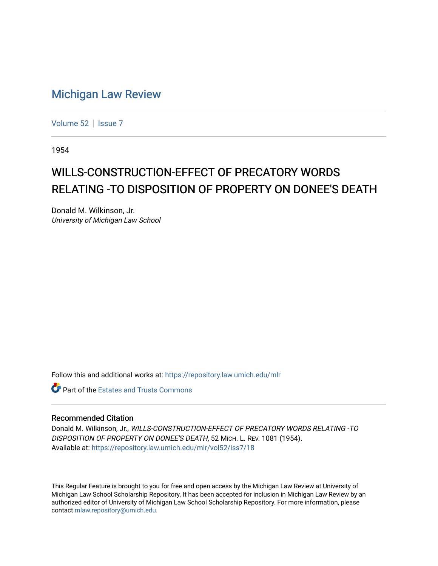## [Michigan Law Review](https://repository.law.umich.edu/mlr)

[Volume 52](https://repository.law.umich.edu/mlr/vol52) | [Issue 7](https://repository.law.umich.edu/mlr/vol52/iss7)

1954

## WILLS-CONSTRUCTION-EFFECT OF PRECATORY WORDS RELATING -TO DISPOSITION OF PROPERTY ON DONEE'S DEATH

Donald M. Wilkinson, Jr. University of Michigan Law School

Follow this and additional works at: [https://repository.law.umich.edu/mlr](https://repository.law.umich.edu/mlr?utm_source=repository.law.umich.edu%2Fmlr%2Fvol52%2Fiss7%2F18&utm_medium=PDF&utm_campaign=PDFCoverPages) 

**C** Part of the Estates and Trusts Commons

## Recommended Citation

Donald M. Wilkinson, Jr., WILLS-CONSTRUCTION-EFFECT OF PRECATORY WORDS RELATING -TO DISPOSITION OF PROPERTY ON DONEE'S DEATH, 52 MICH. L. REV. 1081 (1954). Available at: [https://repository.law.umich.edu/mlr/vol52/iss7/18](https://repository.law.umich.edu/mlr/vol52/iss7/18?utm_source=repository.law.umich.edu%2Fmlr%2Fvol52%2Fiss7%2F18&utm_medium=PDF&utm_campaign=PDFCoverPages) 

This Regular Feature is brought to you for free and open access by the Michigan Law Review at University of Michigan Law School Scholarship Repository. It has been accepted for inclusion in Michigan Law Review by an authorized editor of University of Michigan Law School Scholarship Repository. For more information, please contact [mlaw.repository@umich.edu](mailto:mlaw.repository@umich.edu).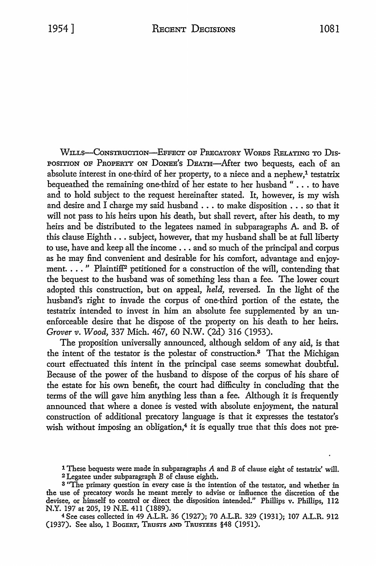WILLS-CONSTRUCTION-EFFECT OF PRECATORY WORDS RELATING TO DIS-POSITION OF PROPERTY ON DONEE'S DEATH-After two bequests, each of an absolute interest in one-third of her property, to a niece and a nephew,<sup>1</sup> testatrix bequeathed the remaining one-third of her estate to her husband " ... to have and to hold subject to the request hereinafter stated. It, however, is my wish and desire and I charge my said husband ... to make disposition ... so that it will not pass to his heirs upon his death, but shall revert, after his death, to my heirs and be distributed to the legatees named in subparagraphs A. and B. of this clause Eighth ... subject, however, that my husband shall be at full liberty to use, have and keep all the income ... and so much of the principal and corpus as he may find convenient and desirable for his comfort, advantage and enjoyment.  $\dots$ ." Plaintiff<sup>2</sup> petitioned for a construction of the will, contending that the bequest to the husband was of something less than a fee. The lower court adopted this construction, but on appeal, *held,* reversed. In the light of the husband's right to invade the corpus of one-third portion of the estate, the testatrix intended to invest in him an absolute fee supplemented by an unenforceable desire that he dispose of the property on his death to her heirs. *Grover v. Wood,* 337 Mich. 467, 60 N.W. (2d) 316 (1953).

The proposition universally announced, although seldom of any aid, is that the intent of the testator is the polestar of construction.3 That the Michigan court effectuated this intent in the principal case seems somewhat doubtful. Because of the power of the husband to dispose of the corpus of his share of the estate for his own benefit, the court had difficulty in concluding that the terms of the will gave him anything less than a fee. Although it is frequently announced that where a donee is vested with absolute enjoyment, the natural construction of additional precatory language is that it expresses the testator's wish without imposing an obligation,<sup>4</sup> it is equally true that this does not pre-

<sup>4</sup>See cases collected in 49 A.L.R. 36 (1927); 70 A.L.R. 329 (1931); 107 A.L.R. 912 (1937). See also, 1 BoGERT, TRUSTS AND TRUSTEES §48 (1951).

**<sup>1</sup>** These bequests were made in subparagraphs A and B of clause eight of testatrix' will.

<sup>2</sup>Legatee under subparagraph B of clause eighth.

<sup>3</sup>"The primary question in every case is the intention of the testator, and whether in the use of precatory words he meant merely to advise or influence the discretion of the devisee, or himself to control or direct the disposition intended." Phillips v. Phillips, 112 N.Y. 197 at 205, 19 N.E. 411 (1889).